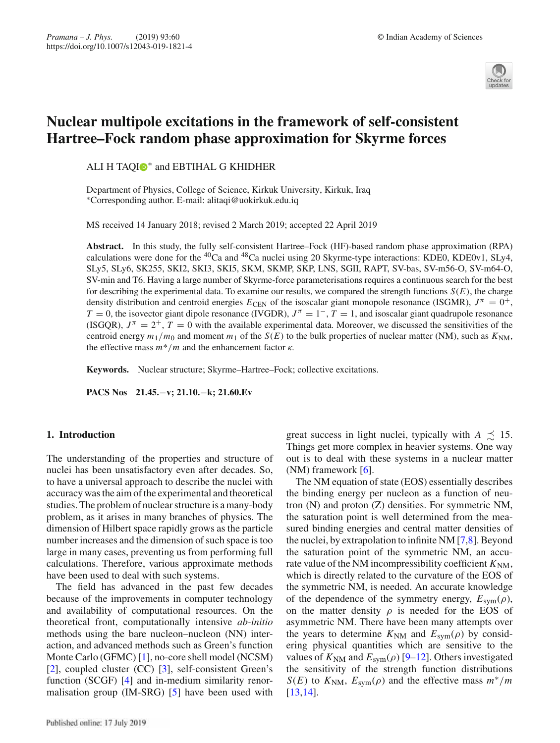

# **Nuclear multipole excitations in the framework of self-consistent Hartree–Fock random phase approximation for Skyrme forces**

ALI H TAQI<sup>®</sup> and EBTIHAL G KHIDHER

Department of Physics, College of Science, Kirkuk University, Kirkuk, Iraq ∗Corresponding author. E-mail: alitaqi@uokirkuk.edu.iq

MS received 14 January 2018; revised 2 March 2019; accepted 22 April 2019

**Abstract.** In this study, the fully self-consistent Hartree–Fock (HF)-based random phase approximation (RPA) calculations were done for the  ${}^{40}Ca$  and  ${}^{48}Ca$  nuclei using 20 Skyrme-type interactions: KDE0, KDE0v1, SLy4, SLy5, SLy6, SK255, SKI2, SKI3, SKI5, SKM, SKMP, SKP, LNS, SGII, RAPT, SV-bas, SV-m56-O, SV-m64-O, SV-min and T6. Having a large number of Skyrme-force parameterisations requires a continuous search for the best for describing the experimental data. To examine our results, we compared the strength functions  $S(E)$ , the charge density distribution and centroid energies  $E_{\text{CEN}}$  of the isoscalar giant monopole resonance (ISGMR),  $J^{\pi} = 0^{+}$ ,  $T = 0$ , the isovector giant dipole resonance (IVGDR),  $J^{\pi} = 1^-$ ,  $T = 1$ , and isoscalar giant quadrupole resonance (ISGQR),  $J^{\pi} = 2^{+}$ ,  $T = 0$  with the available experimental data. Moreover, we discussed the sensitivities of the centroid energy  $m_1/m_0$  and moment  $m_1$  of the  $S(E)$  to the bulk properties of nuclear matter (NM), such as  $K_{NM}$ , the effective mass  $m*/m$  and the enhancement factor  $\kappa$ .

**Keywords.** Nuclear structure; Skyrme–Hartree–Fock; collective excitations.

**PACS Nos 21.45.**−**v; 21.10.**−**k; 21.60.Ev**

# **1. Introduction**

The understanding of the properties and structure of nuclei has been unsatisfactory even after decades. So, to have a universal approach to describe the nuclei with accuracy was the aim of the experimental and theoretical studies. The problem of nuclear structure is a many-body problem, as it arises in many branches of physics. The dimension of Hilbert space rapidly grows as the particle number increases and the dimension of such space is too large in many cases, preventing us from performing full calculations. Therefore, various approximate methods have been used to deal with such systems.

The field has advanced in the past few decades because of the improvements in computer technology and availability of computational resources. On the theoretical front, computationally intensive *ab-initio* methods using the bare nucleon–nucleon (NN) interaction, and advanced methods such as Green's function Monte Carlo (GFMC) [1], no-core shell model (NCSM) [2], coupled cluster (CC) [3], self-consistent Green's function (SCGF) [4] and in-medium similarity renormalisation group (IM-SRG) [5] have been used with

great success in light nuclei, typically with  $A \precsim 15$ . Things get more complex in heavier systems. One way out is to deal with these systems in a nuclear matter (NM) framework  $[6]$ .

The NM equation of state (EOS) essentially describes the binding energy per nucleon as a function of neutron (N) and proton (Z) densities. For symmetric NM, the saturation point is well determined from the measured binding energies and central matter densities of the nuclei, by extrapolation to infinite NM [7,8]. Beyond the saturation point of the symmetric NM, an accurate value of the NM incompressibility coefficient  $K_{\text{NM}}$ , which is directly related to the curvature of the EOS of the symmetric NM, is needed. An accurate knowledge of the dependence of the symmetry energy,  $E_{sym}(\rho)$ , on the matter density  $\rho$  is needed for the EOS of asymmetric NM. There have been many attempts over the years to determine  $K_{\text{NM}}$  and  $E_{\text{sym}}(\rho)$  by considering physical quantities which are sensitive to the values of  $K_{\text{NM}}$  and  $E_{\text{sym}}(\rho)$  [9–12]. Others investigated the sensitivity of the strength function distributions *S*(*E*) to  $K_{\text{NM}}$ ,  $E_{\text{sym}}(\rho)$  and the effective mass  $m^*/m$ [13,14].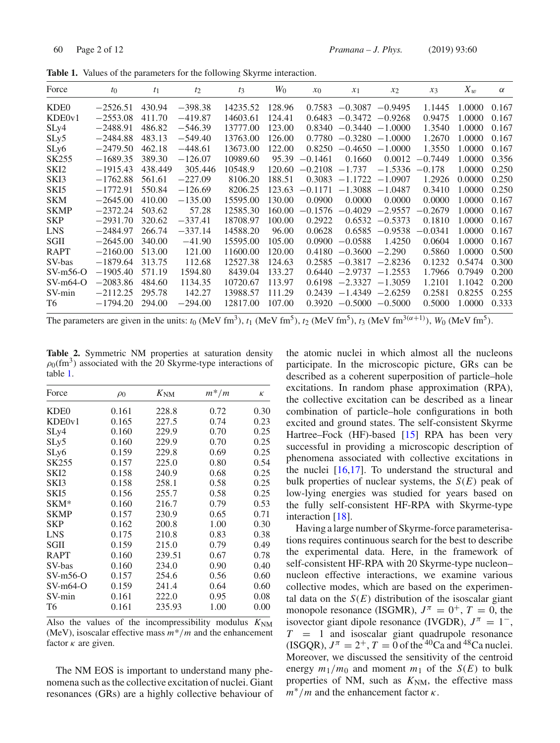| Force             | $t_0$      | $t_1$   | $t_2$     | $t_3$    | $W_{0}$ | $x_0$     | $x_1$             | $x_2$             | $x_3$     | $X_w$  | $\alpha$ |
|-------------------|------------|---------|-----------|----------|---------|-----------|-------------------|-------------------|-----------|--------|----------|
| KDE <sub>0</sub>  | $-2526.51$ | 430.94  | $-398.38$ | 14235.52 | 128.96  | 0.7583    | $-0.3087$         | $-0.9495$         | 1.1445    | 1.0000 | 0.167    |
| KDE0v1            | $-2553.08$ | 411.70  | $-419.87$ | 14603.61 | 124.41  | 0.6483    | $-0.3472$         | $-0.9268$         | 0.9475    | 1.0000 | 0.167    |
| SLy4              | $-2488.91$ | 486.82  | $-546.39$ | 13777.00 | 123.00  | 0.8340    | $-0.3440$         | $-1.0000$         | 1.3540    | 1.0000 | 0.167    |
| SLy5              | $-2484.88$ | 483.13  | $-549.40$ | 13763.00 | 126.00  | 0.7780    | $-0.3280$         | $-1.0000$         | 1.2670    | 1.0000 | 0.167    |
| SLy6              | $-2479.50$ | 462.18  | $-448.61$ | 13673.00 | 122.00  | 0.8250    | $-0.4650$         | $-1.0000$         | 1.3550    | 1.0000 | 0.167    |
| SK <sub>255</sub> | $-1689.35$ | 389.30  | $-126.07$ | 10989.60 | 95.39   | $-0.1461$ | 0.1660            | 0.0012            | $-0.7449$ | 1.0000 | 0.356    |
| SKI <sub>2</sub>  | $-1915.43$ | 438.449 | 305.446   | 10548.9  | 120.60  | $-0.2108$ | $-1.737$          | $-1.5336$         | $-0.178$  | 1.0000 | 0.250    |
| SKI3              | $-1762.88$ | 561.61  | $-227.09$ | 8106.20  | 188.51  | 0.3083    | $-1.1722 -1.0907$ |                   | 1.2926    | 0.0000 | 0.250    |
| SKI5              | $-1772.91$ | 550.84  | $-126.69$ | 8206.25  | 123.63  | $-0.1171$ | $-1.3088$         | $-1.0487$         | 0.3410    | 1.0000 | 0.250    |
| <b>SKM</b>        | $-2645.00$ | 410.00  | $-135.00$ | 15595.00 | 130.00  | 0.0900    | 0.0000            | 0.0000            | 0.0000    | 1.0000 | 0.167    |
| <b>SKMP</b>       | $-2372.24$ | 503.62  | 57.28     | 12585.30 | 160.00  | $-0.1576$ | $-0.4029$         | $-2.9557$         | $-0.2679$ | 1.0000 | 0.167    |
| <b>SKP</b>        | $-2931.70$ | 320.62  | $-337.41$ | 18708.97 | 100.00  | 0.2922    | 0.6532            | $-0.5373$         | 0.1810    | 1.0000 | 0.167    |
| <b>LNS</b>        | $-2484.97$ | 266.74  | $-337.14$ | 14588.20 | 96.00   | 0.0628    |                   | $0.6585 - 0.9538$ | $-0.0341$ | 1.0000 | 0.167    |
| SGII              | $-2645.00$ | 340.00  | $-41.90$  | 15595.00 | 105.00  | 0.0900    | $-0.0588$         | 1.4250            | 0.0604    | 1.0000 | 0.167    |
| <b>RAPT</b>       | $-2160.00$ | 513.00  | 121.00    | 11600.00 | 120.00  | 0.4180    | $-0.3600$         | $-2.290$          | 0.5860    | 1.0000 | 0.500    |
| SV-bas            | $-1879.64$ | 313.75  | 112.68    | 12527.38 | 124.63  | 0.2585    | $-0.3817$         | $-2.8236$         | 0.1232    | 0.5474 | 0.300    |
| $SV-m56-O$        | $-1905.40$ | 571.19  | 1594.80   | 8439.04  | 133.27  | 0.6440    | $-2.9737$         | $-1.2553$         | 1.7966    | 0.7949 | 0.200    |
| $SV-m64-O$        | $-2083.86$ | 484.60  | 1134.35   | 10720.67 | 113.97  | 0.6198    | $-2.3327$         | $-1.3059$         | 1.2101    | 1.1042 | 0.200    |
| SV-min            | $-2112.25$ | 295.78  | 142.27    | 13988.57 | 111.29  | 0.2439    | $-1.4349 -2.6259$ |                   | 0.2581    | 0.8255 | 0.255    |
| T6                | $-1794.20$ | 294.00  | $-294.00$ | 12817.00 | 107.00  | 0.3920    | $-0.5000$         | $-0.5000$         | 0.5000    | 1.0000 | 0.333    |

**Table 1.** Values of the parameters for the following Skyrme interaction.

The parameters are given in the units:  $t_0$  (MeV fm<sup>3</sup>),  $t_1$  (MeV fm<sup>5</sup>),  $t_2$  (MeV fm<sup>5</sup>),  $t_3$  (MeV fm<sup>3( $\alpha$ +1)),  $W_0$  (MeV fm<sup>5</sup>).</sup>

**Table 2.** Symmetric NM properties at saturation density  $\rho_0$ (fm<sup>3</sup>) associated with the 20 Skyrme-type interactions of table 1.

| Force            | $\rho_0$ | $K_{\text{NM}}$ | $m^*/m$ | К    |
|------------------|----------|-----------------|---------|------|
| KDE <sub>0</sub> | 0.161    | 228.8           | 0.72    | 0.30 |
| KDE0v1           | 0.165    | 227.5           | 0.74    | 0.23 |
| SLy4             | 0.160    | 229.9           | 0.70    | 0.25 |
| SLy5             | 0.160    | 229.9           | 0.70    | 0.25 |
| SLy6             | 0.159    | 229.8           | 0.69    | 0.25 |
| SK255            | 0.157    | 225.0           | 0.80    | 0.54 |
| SKI <sub>2</sub> | 0.158    | 240.9           | 0.68    | 0.25 |
| SKI3             | 0.158    | 258.1           | 0.58    | 0.25 |
| SK <sub>I5</sub> | 0.156    | 255.7           | 0.58    | 0.25 |
| SKM*             | 0.160    | 216.7           | 0.79    | 0.53 |
| <b>SKMP</b>      | 0.157    | 230.9           | 0.65    | 0.71 |
| <b>SKP</b>       | 0.162    | 200.8           | 1.00    | 0.30 |
| LNS              | 0.175    | 210.8           | 0.83    | 0.38 |
| SGII             | 0.159    | 215.0           | 0.79    | 0.49 |
| <b>RAPT</b>      | 0.160    | 239.51          | 0.67    | 0.78 |
| SV-bas           | 0.160    | 234.0           | 0.90    | 0.40 |
| $SV-m56-O$       | 0.157    | 254.6           | 0.56    | 0.60 |
| $SV-m64-O$       | 0.159    | 241.4           | 0.64    | 0.60 |
| SV-min           | 0.161    | 222.0           | 0.95    | 0.08 |
| Т6               | 0.161    | 235.93          | 1.00    | 0.00 |

Also the values of the incompressibility modulus  $K_{NM}$ (MeV), isoscalar effective mass *m*\*/*m* and the enhancement factor  $\kappa$  are given.

The NM EOS is important to understand many phenomena such as the collective excitation of nuclei. Giant resonances (GRs) are a highly collective behaviour of the atomic nuclei in which almost all the nucleons participate. In the microscopic picture, GRs can be described as a coherent superposition of particle–hole excitations. In random phase approximation (RPA), the collective excitation can be described as a linear combination of particle–hole configurations in both excited and ground states. The self-consistent Skyrme Hartree–Fock (HF)-based [15] RPA has been very successful in providing a microscopic description of phenomena associated with collective excitations in the nuclei  $[16,17]$ . To understand the structural and bulk properties of nuclear systems, the  $S(E)$  peak of low-lying energies was studied for years based on the fully self-consistent HF-RPA with Skyrme-type interaction [18].

Having a large number of Skyrme-force parameterisations requires continuous search for the best to describe the experimental data. Here, in the framework of self-consistent HF-RPA with 20 Skyrme-type nucleon– nucleon effective interactions, we examine various collective modes, which are based on the experimental data on the  $S(E)$  distribution of the isoscalar giant monopole resonance (ISGMR),  $J^{\pi} = 0^{+}$ ,  $T = 0$ , the isovector giant dipole resonance (IVGDR),  $J^{\pi} = 1^{-}$ , *T* = 1 and isoscalar giant quadrupole resonance (ISGQR),  $J^{\pi} = 2^{+}$ ,  $T = 0$  of the <sup>40</sup>Ca and <sup>48</sup>Ca nuclei. Moreover, we discussed the sensitivity of the centroid energy  $m_1/m_0$  and moment  $m_1$  of the  $S(E)$  to bulk properties of NM, such as  $K<sub>NM</sub>$ , the effective mass  $m^*/m$  and the enhancement factor  $\kappa$ .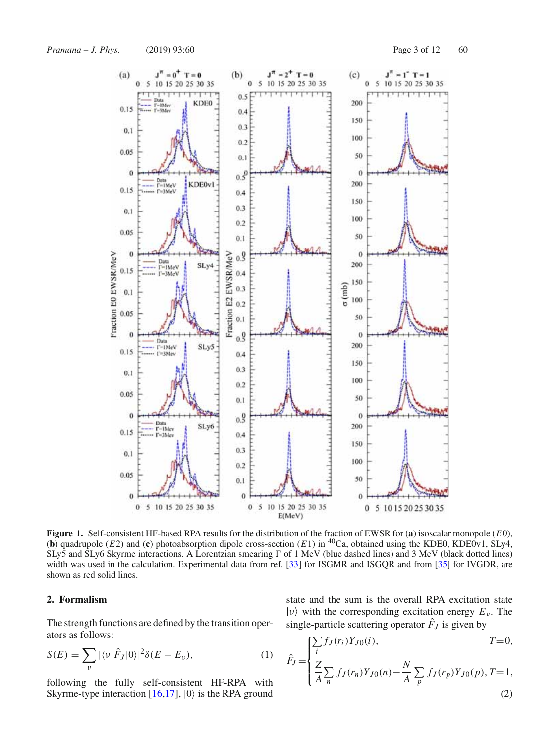

**Figure 1.** Self-consistent HF-based RPA results for the distribution of the fraction of EWSR for (**a**) isoscalar monopole (*E*0), (**b**) quadrupole (*E*2) and (**c**) photoabsorption dipole cross-section (*E*1) in <sup>40</sup>Ca, obtained using the KDE0, KDE0v1, SLy4, SLy5 and SLy6 Skyrme interactions. A Lorentzian smearing  $\Gamma$  of 1 MeV (blue dashed lines) and 3 MeV (black dotted lines) width was used in the calculation. Experimental data from ref. [33] for ISGMR and ISGQR and from [35] for IVGDR, are shown as red solid lines.

## **2. Formalism**

The strength functions are defined by the transition operators as follows:

$$
S(E) = \sum_{\nu} |\langle \nu | \hat{F}_J | 0 \rangle|^2 \delta(E - E_{\nu}), \tag{1}
$$

following the fully self-consistent HF-RPA with Skyrme-type interaction  $[16,17]$ ,  $|0\rangle$  is the RPA ground state and the sum is the overall RPA excitation state  $|v\rangle$  with the corresponding excitation energy  $E_v$ . The single-particle scattering operator  $F_J$  is given by

$$
\hat{F}_J = \begin{cases}\n\sum_i f_J(r_i) Y_{J0}(i), & T = 0, \\
\frac{Z}{A} \sum_n f_J(r_n) Y_{J0}(n) - \frac{N}{A} \sum_p f_J(r_p) Y_{J0}(p), & T = 1, \\
0, & (2)\n\end{cases}
$$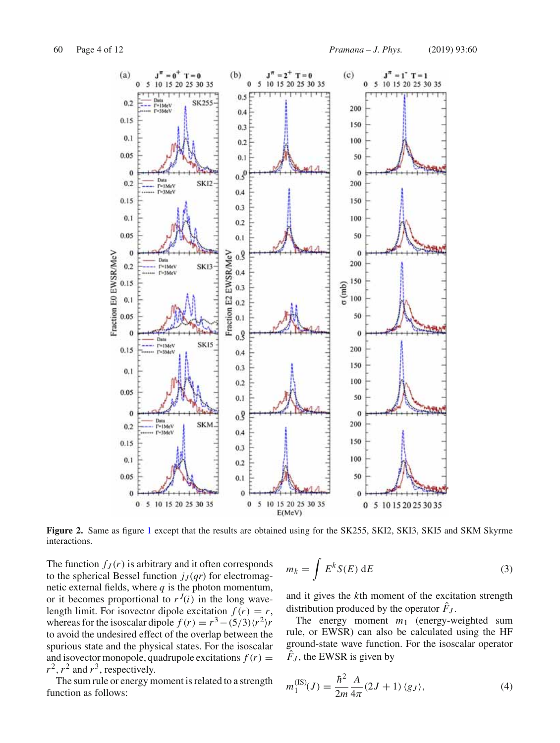

**Figure 2.** Same as figure 1 except that the results are obtained using for the SK255, SKI2, SKI3, SKI5 and SKM Skyrme interactions.

The function  $f_J(r)$  is arbitrary and it often corresponds to the spherical Bessel function  $j_J(qr)$  for electromagnetic external fields, where *q* is the photon momentum, or it becomes proportional to  $r^{J}(i)$  in the long wavelength limit. For isovector dipole excitation  $f(r) = r$ , whereas for the isoscalar dipole  $f(r) = r^3 - (5/3)\langle r^2 \rangle r$ to avoid the undesired effect of the overlap between the spurious state and the physical states. For the isoscalar and isovector monopole, quadrupole excitations  $f(r)$  =  $r^2$ ,  $r^2$  and  $r^3$ , respectively.

The sum rule or energy moment is related to a strength function as follows:

$$
m_k = \int E^k S(E) dE
$$
 (3)

and it gives the *k*th moment of the excitation strength distribution produced by the operator  $F_J$ .

The energy moment *m*<sup>1</sup> (energy-weighted sum rule, or EWSR) can also be calculated using the HF ground-state wave function. For the isoscalar operator  $\hat{F}_J$ , the EWSR is given by

$$
m_1^{(\text{IS})}(J) = \frac{\hbar^2}{2m} \frac{A}{4\pi} (2J+1) \, \langle g_J \rangle,\tag{4}
$$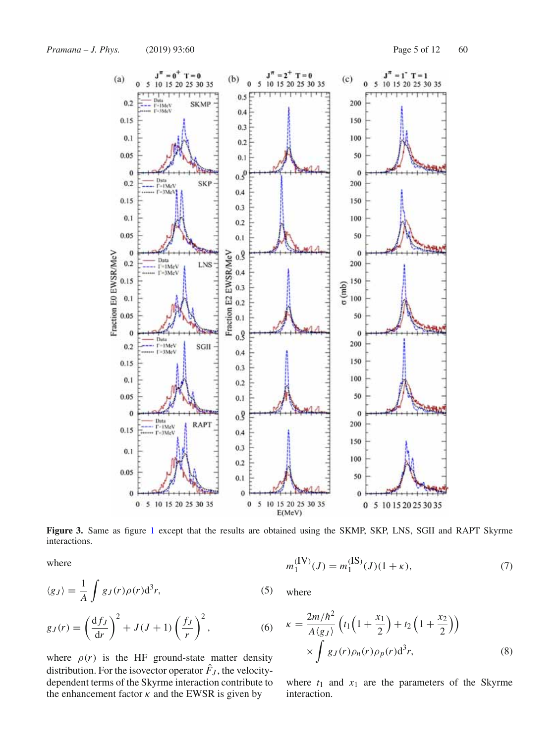

**Figure 3.** Same as figure 1 except that the results are obtained using the SKMP, SKP, LNS, SGII and RAPT Skyrme interactions.

where

$$
m_1^{(IV)}(J) = m_1^{(IS)}(J)(1 + \kappa),\tag{7}
$$

$$
\langle g_J \rangle = \frac{1}{A} \int g_J(r) \rho(r) \mathrm{d}^3 r,\tag{5}
$$

$$
g_J(r) = \left(\frac{\mathrm{d}f_J}{\mathrm{d}r}\right)^2 + J(J+1)\left(\frac{f_J}{r}\right)^2,\tag{6}
$$

where  $\rho(r)$  is the HF ground-state matter density distribution. For the isovector operator  $\hat{F}_J$ , the velocitydependent terms of the Skyrme interaction contribute to the enhancement factor  $\kappa$  and the EWSR is given by

where

$$
\kappa = \frac{2m/\hbar^2}{A\langle g_J \rangle} \left( t_1 \left( 1 + \frac{x_1}{2} \right) + t_2 \left( 1 + \frac{x_2}{2} \right) \right) \times \int g_J(r) \rho_n(r) \rho_p(r) d^3r,
$$
\n(8)

where  $t_1$  and  $x_1$  are the parameters of the Skyrme interaction.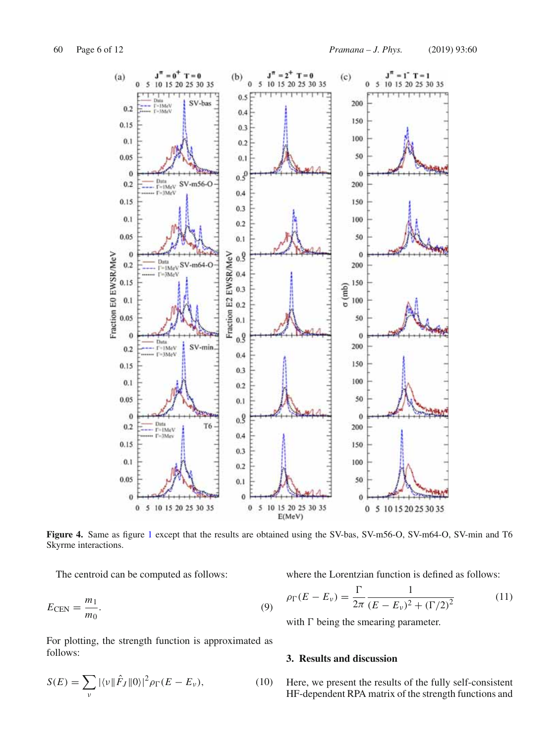

**Figure 4.** Same as figure 1 except that the results are obtained using the SV-bas, SV-m56-O, SV-m64-O, SV-min and T6 Skyrme interactions.

The centroid can be computed as follows:

$$
E_{\rm CEN} = \frac{m_1}{m_0}.\tag{9}
$$

For plotting, the strength function is approximated as follows:

$$
S(E) = \sum_{\nu} |\langle \nu | |\hat{F}_J | | 0 \rangle|^2 \rho_{\Gamma}(E - E_{\nu}), \tag{10}
$$

where the Lorentzian function is defined as follows:

$$
\rho_{\Gamma}(E - E_{\nu}) = \frac{\Gamma}{2\pi} \frac{1}{(E - E_{\nu})^2 + (\Gamma/2)^2}
$$
(11)

with  $\Gamma$  being the smearing parameter.

# **3. Results and discussion**

Here, we present the results of the fully self-consistent HF-dependent RPA matrix of the strength functions and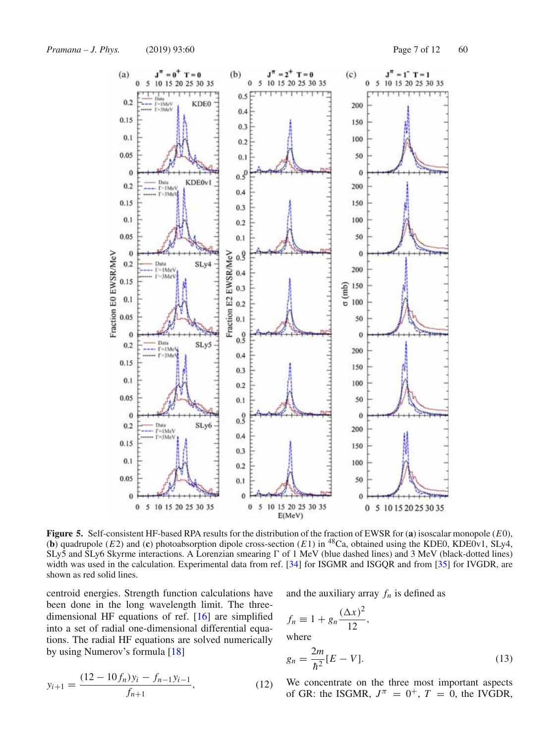

**Figure 5.** Self-consistent HF-based RPA results for the distribution of the fraction of EWSR for (**a**) isoscalar monopole (*E*0), (**b**) quadrupole ( $E2$ ) and (**c**) photoabsorption dipole cross-section ( $E1$ ) in <sup>48</sup>Ca, obtained using the KDE0, KDE0v1, SLy4, SLy5 and SLy6 Skyrme interactions. A Lorenzian smearing  $\Gamma$  of 1 MeV (blue dashed lines) and 3 MeV (black-dotted lines) width was used in the calculation. Experimental data from ref. [34] for ISGMR and ISGQR and from [35] for IVGDR, are shown as red solid lines.

centroid energies. Strength function calculations have been done in the long wavelength limit. The threedimensional HF equations of ref. [16] are simplified into a set of radial one-dimensional differential equations. The radial HF equations are solved numerically by using Numerov's formula [18]

and the auxiliary array  $f_n$  is defined as

$$
f_n \equiv 1 + g_n \frac{(\Delta x)^2}{12},
$$
  
where

$$
y_{i+1} = \frac{(12 - 10f_n)y_i - f_{n-1}y_{i-1}}{f_{n+1}},
$$
\n(12)

 $g_n = \frac{2m}{\hbar^2} [E - V].$  (13) We concentrate on the three most important aspects of GR: the ISGMR,  $J^{\pi} = 0^+$ ,  $T = 0$ , the IVGDR,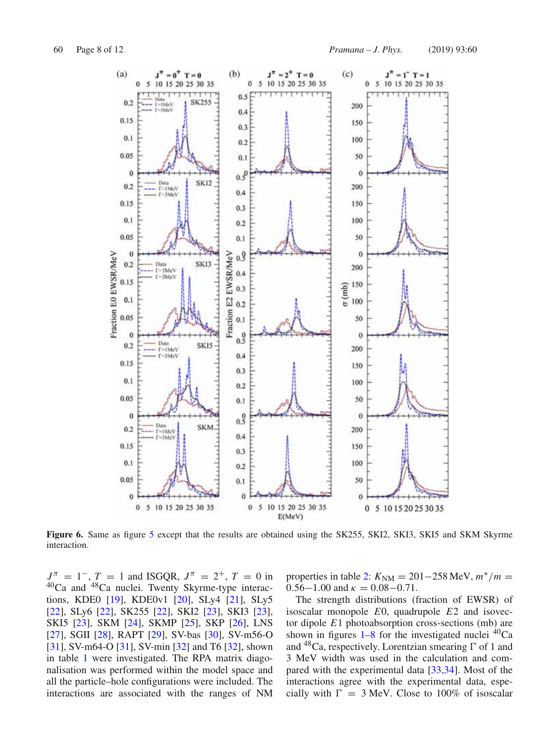

**Figure 6.** Same as figure 5 except that the results are obtained using the SK255, SKI2, SKI3, SKI5 and SKM Skyrme interaction.

 $J^{\pi}$  = 1<sup>-</sup>, *T* = 1 and ISGQR,  $J^{\pi}$  = 2<sup>+</sup>, *T* = 0 in 40Ca and 48Ca nuclei. Twenty Skyrme-type interactions, KDE0 [19], KDE0v1 [20], SLy4 [21], SLy5 [22], SLy6 [22], SK255 [22], SKI2 [23], SKI3 [23], SKI5 [23], SKM [24], SKMP [25], SKP [26], LNS [27], SGII [28], RAPT [29], SV-bas [30], SV-m56-O [31], SV-m64-O [31], SV-min [32] and T6 [32], shown in table 1 were investigated. The RPA matrix diagonalisation was performed within the model space and all the particle–hole configurations were included. The interactions are associated with the ranges of NM

properties in table 2:  $K_{\text{NM}} = 201 - 258 \text{ MeV}, m^*/m =$  $0.56-1.00$  and  $\kappa = 0.08-0.71$ .

The strength distributions (fraction of EWSR) of isoscalar monopole *E*0, quadrupole *E*2 and isovector dipole *E*1 photoabsorption cross-sections (mb) are shown in figures  $1-8$  for the investigated nuclei  ${}^{40}Ca$ and <sup>48</sup>Ca, respectively. Lorentzian smearing  $\Gamma$  of 1 and 3 MeV width was used in the calculation and compared with the experimental data [33,34]. Most of the interactions agree with the experimental data, especially with  $\Gamma = 3$  MeV. Close to 100% of isoscalar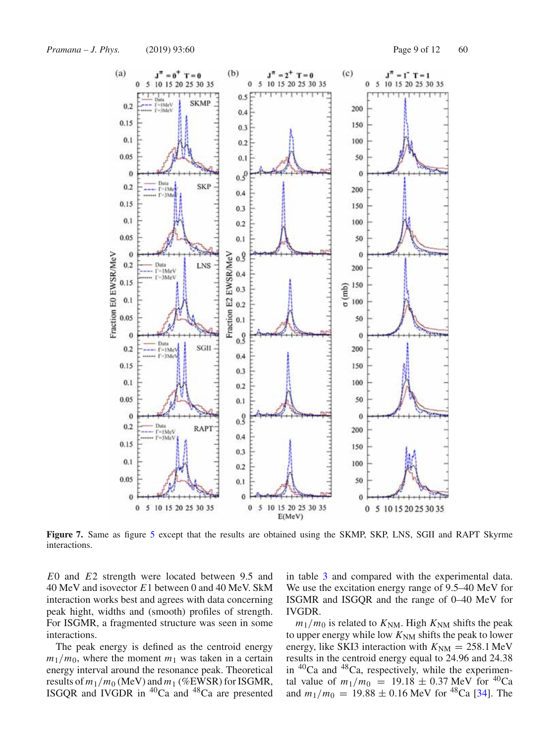

**Figure 7.** Same as figure 5 except that the results are obtained using the SKMP, SKP, LNS, SGII and RAPT Skyrme interactions.

*E*0 and *E*2 strength were located between 9.5 and 40 MeV and isovector *E*1 between 0 and 40 MeV. SkM interaction works best and agrees with data concerning peak hight, widths and (smooth) profiles of strength. For ISGMR, a fragmented structure was seen in some interactions.

The peak energy is defined as the centroid energy  $m_1/m_0$ , where the moment  $m_1$  was taken in a certain energy interval around the resonance peak. Theoretical results of  $m_1/m_0$  (MeV) and  $m_1$  (%EWSR) for ISGMR, ISGQR and IVGDR in 40Ca and 48Ca are presented in table 3 and compared with the experimental data. We use the excitation energy range of 9.5–40 MeV for ISGMR and ISGQR and the range of 0–40 MeV for IVGDR.

 $m_1/m_0$  is related to  $K_{NM}$ . High  $K_{NM}$  shifts the peak to upper energy while low  $K<sub>NM</sub>$  shifts the peak to lower energy, like SKI3 interaction with  $K_{NM} = 258.1$  MeV results in the centroid energy equal to 24.96 and 24.38 in  ${}^{40}Ca$  and  ${}^{48}Ca$ , respectively, while the experimental value of  $m_1/m_0 = 19.18 \pm 0.37$  MeV for <sup>40</sup>Ca and  $m_1/m_0 = 19.88 \pm 0.16$  MeV for <sup>48</sup>Ca [34]. The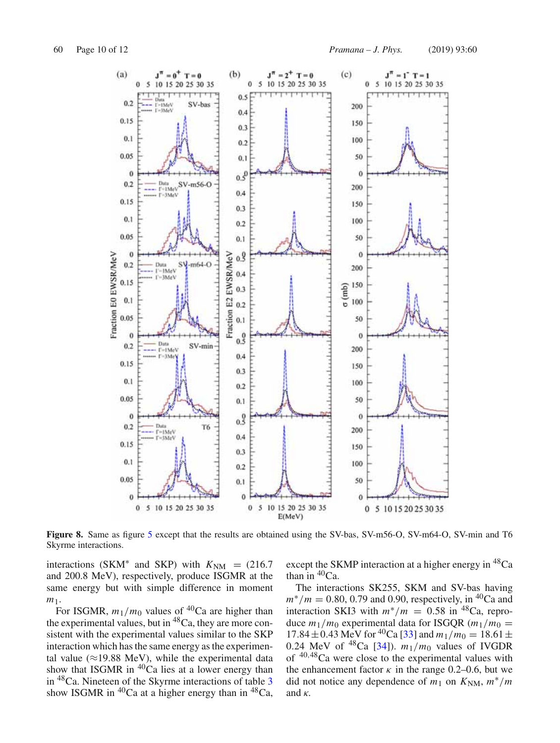

**Figure 8.** Same as figure 5 except that the results are obtained using the SV-bas, SV-m56-O, SV-m64-O, SV-min and T6 Skyrme interactions.

interactions (SKM<sup>\*</sup> and SKP) with  $K_{NM}$  = (216.7) and 200.8 MeV), respectively, produce ISGMR at the same energy but with simple difference in moment *m*1.

For ISGMR,  $m_1/m_0$  values of <sup>40</sup>Ca are higher than the experimental values, but in  ${}^{48}Ca$ , they are more consistent with the experimental values similar to the SKP interaction which has the same energy as the experimental value ( $\approx$ 19.88 MeV), while the experimental data show that ISGMR in  $40^{\circ}$ Ca lies at a lower energy than in 48Ca. Nineteen of the Skyrme interactions of table 3 show ISGMR in  ${}^{40}Ca$  at a higher energy than in  ${}^{48}Ca$ , except the SKMP interaction at a higher energy in <sup>48</sup>Ca than in  ${}^{40}Ca$ .

The interactions SK255, SKM and SV-bas having  $m^*/m = 0.80, 0.79$  and 0.90, respectively, in <sup>40</sup>Ca and interaction SKI3 with  $m^*/m = 0.58$  in <sup>48</sup>Ca, reproduce  $m_1/m_0$  experimental data for ISGQR  $(m_1/m_0 =$ 17.84 ± 0.43 MeV for <sup>40</sup>Ca [33] and  $m_1/m_0 = 18.61 \pm$ 0.24 MeV of <sup>48</sup>Ca [34]).  $m_1/m_0$  values of IVGDR of <sup>40</sup>,48Ca were close to the experimental values with the enhancement factor  $\kappa$  in the range 0.2–0.6, but we did not notice any dependence of  $m_1$  on  $K_{\text{NM}}$ ,  $m^*/m$ and  $\kappa$ .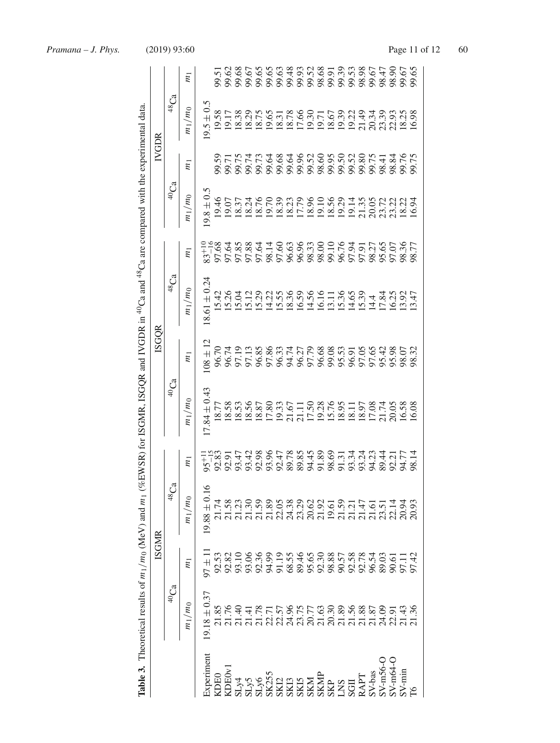|                                                                                                                                                                                                                                                                                                                                                                                                                                    |                    |                | <b>Table 3.</b> Theoretical results of $m_1/m_0$ (MeV) and $m_1$ (%EWSR) for ISGMR, ISGQR and IVGDR in <sup>40</sup> Ca and <sup>48</sup> Ca are compared with the experimental data. |                                                                        |                                                          |                         |                         |                           |                                        |                                                                              |               |                |
|------------------------------------------------------------------------------------------------------------------------------------------------------------------------------------------------------------------------------------------------------------------------------------------------------------------------------------------------------------------------------------------------------------------------------------|--------------------|----------------|---------------------------------------------------------------------------------------------------------------------------------------------------------------------------------------|------------------------------------------------------------------------|----------------------------------------------------------|-------------------------|-------------------------|---------------------------|----------------------------------------|------------------------------------------------------------------------------|---------------|----------------|
|                                                                                                                                                                                                                                                                                                                                                                                                                                    |                    | <b>ISGMR</b>   |                                                                                                                                                                                       |                                                                        |                                                          | <b>ISGQR</b>            |                         |                           |                                        | IVGDR                                                                        |               |                |
|                                                                                                                                                                                                                                                                                                                                                                                                                                    | $^{40}\mathrm{Ca}$ |                | $^{48}Ca$                                                                                                                                                                             |                                                                        | 40 <sub>Ca</sub>                                         |                         | 48 <sub>Ca</sub>        |                           | 40 <sub>Ca</sub>                       |                                                                              | ${}^{48}Ca$   |                |
|                                                                                                                                                                                                                                                                                                                                                                                                                                    | $m_1/m_0$          | $\overline{m}$ | $m_1/m_0$                                                                                                                                                                             | $\overline{m}$                                                         | $m_1/m_0$                                                | $\overline{m}$          | $m_1/m_0$               | $\overline{m}$            | $m_1/m_0$                              | $\overline{m}$                                                               | $m_1/m_0$     | $\overline{m}$ |
| xperiment                                                                                                                                                                                                                                                                                                                                                                                                                          | $19.18 \pm 0.37$   | $1 \pm 1$      | $19.88 \pm 0.16$                                                                                                                                                                      | $95^{+11}_{-15}$<br>92.83                                              | $17.84 \pm 0.43$                                         | $08 \pm 12$             | $18.61 \pm 0.24$        | $83^{+10}_{-16}$<br>97.68 | $19.8 \pm 0.5$                         |                                                                              | $9.5 \pm 0.5$ |                |
|                                                                                                                                                                                                                                                                                                                                                                                                                                    | 21.85              | 92.53          |                                                                                                                                                                                       |                                                                        | 18.77                                                    | 96.70                   | 15.42                   |                           | 19.46                                  | 99.59                                                                        | 19.58         |                |
| $\begin{array}{l} \mathbf{20} \\ \mathbf{21} \\ \mathbf{32} \\ \mathbf{43} \\ \mathbf{54} \\ \mathbf{65} \\ \mathbf{75} \\ \mathbf{87} \\ \mathbf{88} \\ \mathbf{88} \\ \mathbf{88} \\ \mathbf{88} \\ \mathbf{88} \\ \mathbf{88} \\ \mathbf{88} \\ \mathbf{88} \\ \mathbf{88} \\ \mathbf{88} \\ \mathbf{88} \\ \mathbf{88} \\ \mathbf{88} \\ \mathbf{88} \\ \mathbf{88} \\ \mathbf{88} \\ \mathbf{88} \\ \mathbf{88} \\ \mathbf{8$ |                    |                |                                                                                                                                                                                       | 92.91                                                                  | 18.58                                                    | 96.74                   | 5.26                    | 97.64                     | 19.07                                  | 99.71                                                                        |               |                |
|                                                                                                                                                                                                                                                                                                                                                                                                                                    |                    |                |                                                                                                                                                                                       |                                                                        | 18.53                                                    | 97.19                   |                         | 97.85                     | 18.37                                  | 99.75                                                                        | 18.38         |                |
|                                                                                                                                                                                                                                                                                                                                                                                                                                    | 21.41              |                |                                                                                                                                                                                       |                                                                        | 18.56                                                    | 97.13                   | 15.12                   | 97.88                     | 18.24                                  | 99.74                                                                        | 18.29         |                |
|                                                                                                                                                                                                                                                                                                                                                                                                                                    |                    |                |                                                                                                                                                                                       |                                                                        | 18.87                                                    | 96.85                   | 15.29                   | 97.64                     | 18.76                                  | 99.73                                                                        | 18.75         |                |
|                                                                                                                                                                                                                                                                                                                                                                                                                                    |                    |                |                                                                                                                                                                                       |                                                                        | 17.80                                                    | 97.86                   | 14.22                   | 98.14                     | 19.70                                  |                                                                              | 19.65         |                |
|                                                                                                                                                                                                                                                                                                                                                                                                                                    |                    |                |                                                                                                                                                                                       |                                                                        | 19.33                                                    | 96.33                   | 15.55                   |                           | 18.39                                  | 3<br>8<br>8<br>8<br>8<br>8<br>8<br>8<br>8<br>8<br>8<br>8<br>8<br>8<br>8<br>8 | 18.31         |                |
|                                                                                                                                                                                                                                                                                                                                                                                                                                    |                    |                |                                                                                                                                                                                       |                                                                        | 21.67                                                    | 94.74                   | 18.36                   |                           | 18.23                                  |                                                                              | 18.78         |                |
|                                                                                                                                                                                                                                                                                                                                                                                                                                    |                    |                |                                                                                                                                                                                       |                                                                        | 21.11                                                    | 96.27                   | 16.59                   |                           | 17.79                                  |                                                                              | 17.66         |                |
|                                                                                                                                                                                                                                                                                                                                                                                                                                    |                    |                |                                                                                                                                                                                       |                                                                        | 17.50                                                    | 97.79                   | 14.56                   |                           | 18.96                                  |                                                                              | 19.30         |                |
|                                                                                                                                                                                                                                                                                                                                                                                                                                    |                    |                |                                                                                                                                                                                       |                                                                        |                                                          | 96.68<br>99.53<br>96.91 | 16.16<br>13.36<br>14.65 |                           | 19.10                                  |                                                                              | 19.71         |                |
|                                                                                                                                                                                                                                                                                                                                                                                                                                    |                    |                |                                                                                                                                                                                       |                                                                        |                                                          |                         |                         |                           | 18.56                                  |                                                                              | 18.67         |                |
|                                                                                                                                                                                                                                                                                                                                                                                                                                    |                    |                |                                                                                                                                                                                       |                                                                        |                                                          |                         |                         |                           |                                        |                                                                              | 19.39         |                |
|                                                                                                                                                                                                                                                                                                                                                                                                                                    |                    |                |                                                                                                                                                                                       |                                                                        |                                                          |                         |                         |                           | 19.29<br>19.14                         |                                                                              | 19.22         |                |
|                                                                                                                                                                                                                                                                                                                                                                                                                                    |                    |                |                                                                                                                                                                                       | 5 3 3 3 4 5 8 9 4 5 6 7 7 7 7 7<br>2 5 6 7 6 7 8 9 7 7 8 9 7 8 7 8 9 7 | 23<br>25.53 25.87<br>25.53 25.58<br>26.08<br>25.53 25.58 | 97.05                   | 15.39                   |                           | 35<br>20.02<br>20.03<br>20.03<br>20.03 | 99.80                                                                        | 21.49         |                |
|                                                                                                                                                                                                                                                                                                                                                                                                                                    |                    |                |                                                                                                                                                                                       |                                                                        |                                                          |                         | 14.4<br>17.84           |                           |                                        |                                                                              | 20.34         |                |
|                                                                                                                                                                                                                                                                                                                                                                                                                                    |                    |                |                                                                                                                                                                                       |                                                                        |                                                          | 97.65<br>95.42          |                         |                           |                                        | 99.75<br>98.41                                                               | 23.39         |                |
|                                                                                                                                                                                                                                                                                                                                                                                                                                    |                    |                |                                                                                                                                                                                       | 92.21                                                                  |                                                          | 95.98                   | 63847                   | P7.07                     |                                        | 98.84                                                                        | 22.93         |                |
| $SV$ -min                                                                                                                                                                                                                                                                                                                                                                                                                          |                    |                |                                                                                                                                                                                       | 94.77<br>98.14                                                         |                                                          | 98.07                   |                         | 98.36<br>98.77            |                                        | 99.76                                                                        | 18.25         | 99.67<br>99.65 |
| PS <sub>1</sub>                                                                                                                                                                                                                                                                                                                                                                                                                    |                    |                |                                                                                                                                                                                       |                                                                        |                                                          |                         |                         |                           |                                        |                                                                              | 16.98         |                |
|                                                                                                                                                                                                                                                                                                                                                                                                                                    |                    |                |                                                                                                                                                                                       |                                                                        |                                                          |                         |                         |                           |                                        |                                                                              |               |                |